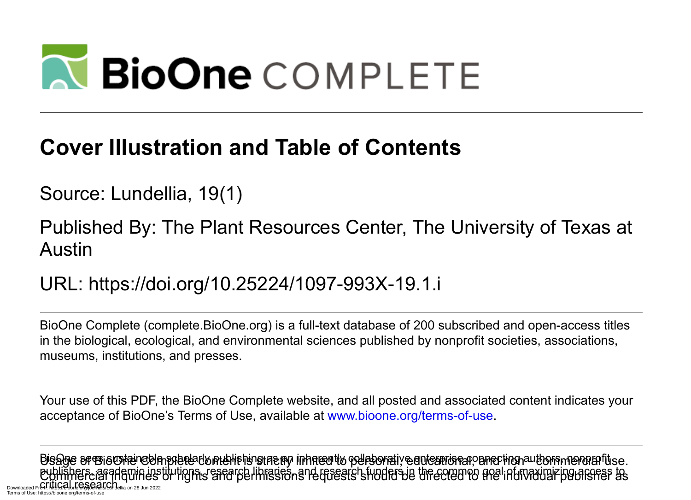# **N BioOne COMPLETE**

### **Cover Illustration and Table of Contents**

Source: Lundellia, 19(1)

Published By: The Plant Resources Center, The University of Texas at Austin

URL: https://doi.org/10.25224/1097-993X-19.1.i

BioOne Complete (complete.BioOne.org) is a full-text database of 200 subscribed and open-access titles in the biological, ecological, and environmental sciences published by nonprofit societies, associations, museums, institutions, and presses.

Your use of this PDF, the BioOne Complete website, and all posted and associated content indicates your acceptance of BioOne's Terms of Use, available at www.bioone.org/terms-of-use.

Usage of BioOne Complete content is strictly limited to personal, educational, and non - commercial use. Commercial inquiries or rights and permissions requests should be directed to the individual publisher as BioOne sees sustainable scholarly publishing as an inherently collaborative enterprise connecting authors, nonprofit publishers, academic institutions, research libraries, and research funders in the common goal of maximizing access to Downloaded From: https://bioone.org/ione.org/ione.org/<br>Downloaded From: https://bioone.org/dialellia on 28 Jun 2022 Terms of Use: https://bioone.org/terms-of-use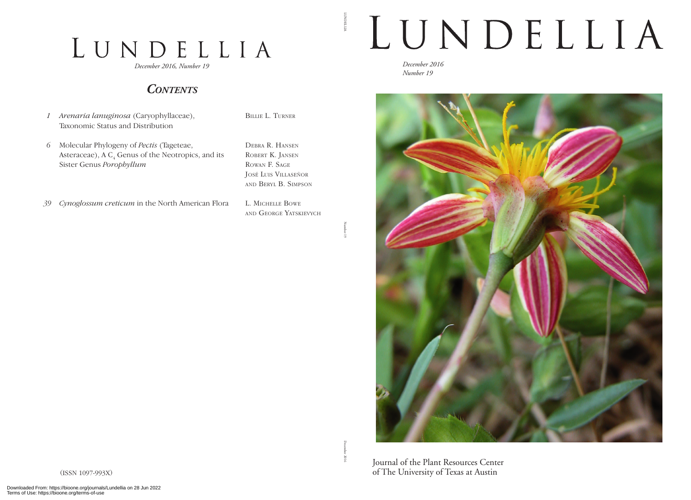## LUNDELLIA

*December 2016, Number 19*

#### *Contents*

- *1 Arenaria lanuginosa* (Caryophyllaceae), Taxonomic Status and Distribution
- *6* Molecular Phylogeny of *Pectis* (Tageteae, Asteraceae), A  $C_4$  Genus of the Neotropics, and its Sister Genus *Porophyllum*

Debra R. Hansen ROBERT K. JANSEN Rowan F. Sage José Luis Villaseñor and Beryl B. Simpson

L. Michelle Bowe

Billie L. Turner

*39 Cynoglossum creticum* in the North American Flora

and George Yatskievych

Number 19

LUNDELLIA

**LUNDELLA** 

## LUNDELLIA

*December 2016 Number 19*



Journal of the Plant Resources Center of The University of Texas at Austin